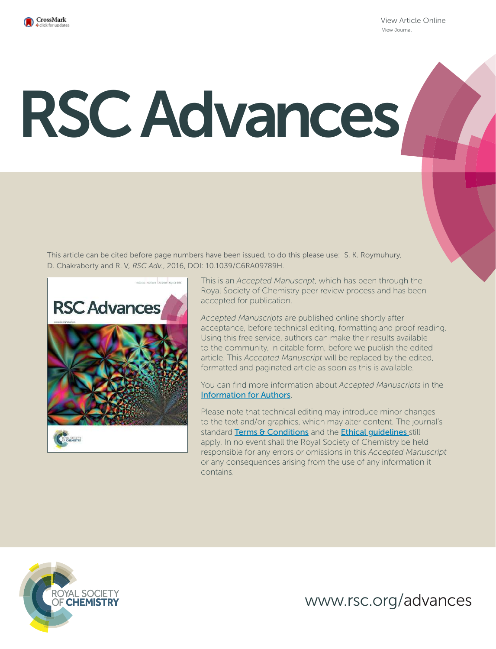

View Article Online View Journal

# RSC Advances

This article can be cited before page numbers have been issued, to do this please use: S. K. Roymuhury, D. Chakraborty and R. V*, RSC Adv.*, 2016, DOI: 10.1039/C6RA09789H.



This is an *Accepted Manuscript*, which has been through the Royal Society of Chemistry peer review process and has been accepted for publication.

*Accepted Manuscripts* are published online shortly after acceptance, before technical editing, formatting and proof reading. Using this free service, authors can make their results available to the community, in citable form, before we publish the edited article. This *Accepted Manuscript* will be replaced by the edited, formatted and paginated article as soon as this is available.

You can find more information about *Accepted Manuscripts* in the Information for Authors.

Please note that technical editing may introduce minor changes to the text and/or graphics, which may alter content. The journal's standard Terms & Conditions and the Ethical quidelines still apply. In no event shall the Royal Society of Chemistry be held responsible for any errors or omissions in this *Accepted Manuscript* or any consequences arising from the use of any information it contains.



www.rsc.org/advances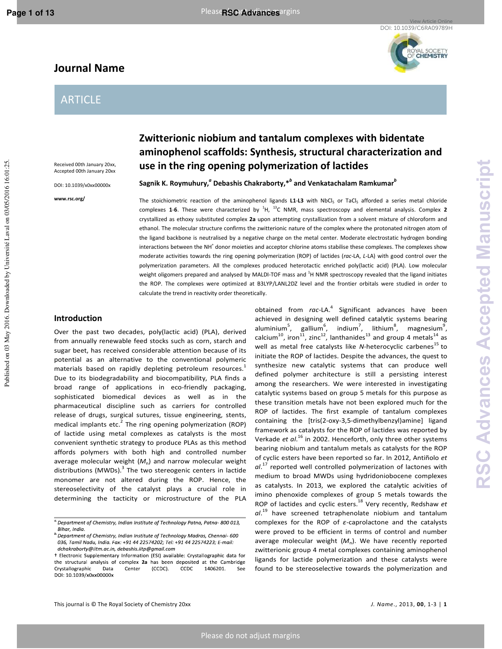View Article Online DOI: 10.1039/C6RA09789H

YAL SOCIETY<br>**CHEMISTRY** 

# **Journal Name**

# ARTICLE

Received 00th January 20xx, Accepted 00th January 20xx

DOI: 10.1039/x0xx00000x

**www.rsc.org/** 

# **Zwitterionic niobium and tantalum complexes with bidentate aminophenol scaffolds: Synthesis, structural characterization and use in the ring opening polymerization of lactides**

 $\mathsf{S}$ agnik K. Roymuhury, $^a$  Debashis Chakraborty, $^{*b}$  and Venkatachalam Ramkumar $^b$ 

The stoichiometric reaction of the aminophenol ligands L1-L3 with NbCl<sub>5</sub> or TaCl<sub>5</sub> afforded a series metal chloride complexes **1**-**6**. These were characterized by <sup>1</sup> H, <sup>13</sup>C NMR, mass spectroscopy and elemental analysis. Complex **2** crystallized as ethoxy substituted complex **2a** upon attempting crystallization from a solvent mixture of chloroform and ethanol. The molecular structure confirms the zwitterionic nature of the complex where the protonated nitrogen atom of the ligand backbone is neutralised by a negative charge on the metal center. Moderate electrostatic hydrogen bonding interactions between the NH<sup>+</sup> donor moieties and acceptor chlorine atoms stabilise these complexes. The complexes show moderate activities towards the ring opening polymerization (ROP) of lactides (*rac*-LA, *L*-LA) with good control over the polymerization parameters. All the complexes produced heterotactic enriched poly(lactic acid) (PLA). Low molecular weight oligomers prepared and analysed by MALDI-TOF mass and <sup>1</sup>H NMR spectroscopy revealed that the ligand initiates the ROP. The complexes were optimized at B3LYP/LANL2DZ level and the frontier orbitals were studied in order to calculate the trend in reactivity order theoretically.

## **Introduction**

Over the past two decades, poly(lactic acid) (PLA), derived from annually renewable feed stocks such as corn, starch and sugar beet, has received considerable attention because of its potential as an alternative to the conventional polymeric materials based on rapidly depleting petroleum resources.<sup>1</sup> Due to its biodegradability and biocompatibility, PLA finds a broad range of applications in eco-friendly packaging, sophisticated biomedical devices as well as in the pharmaceutical discipline such as carriers for controlled release of drugs, surgical sutures, tissue engineering, stents, medical implants etc. $^2$  The ring opening polymerization (ROP) of lactide using metal complexes as catalysts is the most convenient synthetic strategy to produce PLAs as this method affords polymers with both high and controlled number average molecular weight  $(M<sub>n</sub>)$  and narrow molecular weight distributions (MWDs). $^3$  The two stereogenic centers in lactide monomer are not altered during the ROP. Hence, the stereoselectivity of the catalyst plays a crucial role in determining the tacticity or microstructure of the PLA

achieved in designing well defined catalytic systems bearing aluminium<sup>5</sup>, gallium<sup>6</sup>, indium<sup>7</sup>, lithium<sup>8</sup>, magnesium<sup>9</sup>, calcium<sup>10</sup>, iron<sup>11</sup>, zinc<sup>12</sup>, lanthanides<sup>13</sup> and group 4 metals<sup>14</sup> as well as metal free catalysts like *N*-heterocyclic carbenes<sup>15</sup> to initiate the ROP of lactides. Despite the advances, the quest to synthesize new catalytic systems that can produce well defined polymer architecture is still a persisting interest among the researchers. We were interested in investigating catalytic systems based on group 5 metals for this purpose as these transition metals have not been explored much for the ROP of lactides. The first example of tantalum complexes containing the [tris(2-oxy-3,5-dimethylbenzyl)amine] ligand framework as catalysts for the ROP of lactides was reported by Verkade *et al*.<sup>16</sup> in 2002. Henceforth, only three other systems bearing niobium and tantalum metals as catalysts for the ROP of cyclic esters have been reported so far. In 2012, Antiñolo *et al*. <sup>17</sup> reported well controlled polymerization of lactones with medium to broad MWDs using hydridoniobocene complexes as catalysts. In 2013, we explored the catalytic acivities of imino phenoxide complexes of group 5 metals towards the ROP of lactides and cyclic esters.<sup>18</sup> Very recently, Redshaw *et al*. <sup>19</sup> have screened tetraphenolate niobium and tantalum complexes for the ROP of *ε*-caprolactone and the catalysts were proved to be efficient in terms of control and number average molecular weight (M<sub>n</sub>). We have recently reported zwitterionic group 4 metal complexes containing aminophenol ligands for lactide polymerization and these catalysts were found to be stereoselective towards the polymerization and

obtained from *rac-*LA.<sup>4</sup> Significant advances have been

 $a$  Department of Chemistry, Indian Institute of Technology Patna, Patna-800 013, Bihar, India.

<sup>&</sup>lt;sup>b</sup> Department of Chemistry, Indian Institute of Technology Madras, Chennai-600 036, Tamil Nadu, India. Fax: +91 44 22574202; Tel: +91 44 22574223; E-mail: dchakraborty@iitm.ac.in, debashis.iitp@gmail.com

<sup>†</sup> Electronic Supplementary Information (ESI) available: Crystallographic data for the structural analysis of complex 2a has been deposited at the Cambridge Crystallographic Data Center (CCDC). CCDC 1406201. See DOI: 10.1039/x0xx00000x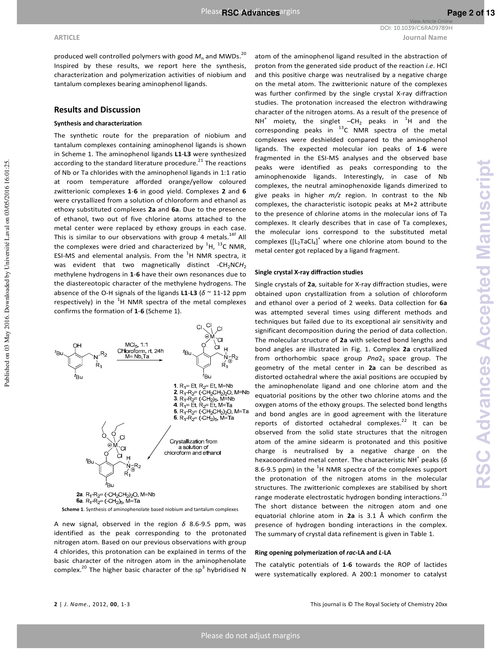**ARTICLE Journal Name** View Article Online DOI: 10.1039/C6RA09789H

produced well controlled polymers with good  $M_n$  and MWDs.<sup>20</sup> Inspired by these results, we report here the synthesis, characterization and polymerization activities of niobium and tantalum complexes bearing aminophenol ligands.

#### **Results and Discussion**

#### **Synthesis and characterization**

The synthetic route for the preparation of niobium and tantalum complexes containing aminophenol ligands is shown in Scheme 1. The aminophenol ligands **L1**-**L3** were synthesized according to the standard literature procedure. $^{21}$  The reactions of Nb or Ta chlorides with the aminophenol ligands in 1:1 ratio at room temperature afforded orange/yellow coloured zwitterionic complexes **1**-**6** in good yield. Complexes **2** and **6** were crystallized from a solution of chloroform and ethanol as ethoxy substituted complexes **2a** and **6a**. Due to the presence of ethanol, two out of five chlorine atoms attached to the metal center were replaced by ethoxy groups in each case. This is similar to our observations with group 4 metals.<sup>14f</sup> All the complexes were dried and characterized by  ${}^{1}$ H,  ${}^{13}$ C NMR, ESI-MS and elemental analysis. From the  ${}^{1}$ H NMR spectra, it was evident that two magnetically distinct -CH<sub>2</sub>NCH<sub>2</sub> methylene hydrogens in **1**-**6** have their own resonances due to the diastereotopic character of the methylene hydrogens. The absence of the O-H signals of the ligands **L1**-**L3** (*δ* ~ 11-12 ppm respectively) in the  ${}^{1}$ H NMR spectra of the metal complexes confirms the formation of **1**-**6** (Scheme 1).



A new signal, observed in the region *δ* 8.6-9.5 ppm, was identified as the peak corresponding to the protonated nitrogen atom. Based on our previous observations with group 4 chlorides, this protonation can be explained in terms of the basic character of the nitrogen atom in the aminophenolate complex.<sup>20</sup> The higher basic character of the sp<sup>3</sup> hybridised N

atom of the aminophenol ligand resulted in the abstraction of proton from the generated side product of the reaction *i.e*. HCl and this positive charge was neutralised by a negative charge on the metal atom. The zwitterionic nature of the complexes was further confirmed by the single crystal X-ray diffraction studies. The protonation increased the electron withdrawing character of the nitrogen atoms. As a result of the presence of NH<sup>+</sup> moiety, the singlet  $-CH_2$  peaks in  ${}^{1}H$  and the corresponding peaks in  $^{13}$ C NMR spectra of the metal complexes were deshielded compared to the aminophenol ligands. The expected molecular ion peaks of **1**-**6** were fragmented in the ESI-MS analyses and the observed base peaks were identified as peaks corresponding to the aminophenoxide ligands. Interestingly, in case of Nb complexes, the neutral aminophenoxide ligands dimerized to give peaks in higher *m/z* region. In contrast to the Nb complexes, the characteristic isotopic peaks at M+2 attribute to the presence of chlorine atoms in the molecular ions of Ta complexes. It clearly describes that in case of Ta complexes, the molecular ions correspond to the substituted metal complexes  $([L_2TaCl_4]^+$  where one chlorine atom bound to the metal center got replaced by a ligand fragment.

#### **Single crystal X-ray diffraction studies**

Single crystals of **2a**, suitable for X-ray diffraction studies, were obtained upon crystallization from a solution of chloroform and ethanol over a period of 2 weeks. Data collection for **6a** was attempted several times using different methods and techniques but failed due to its exceptional air sensitivity and significant decomposition during the period of data collection. The molecular structure of **2a** with selected bond lengths and bond angles are illustrated in Fig. 1. Complex **2a** crystallized from orthorhombic space group *Pna*2<sub>1</sub> space group. The geometry of the metal center in **2a** can be described as distorted octahedral where the axial positions are occupied by the aminophenolate ligand and one chlorine atom and the equatorial positions by the other two chlorine atoms and the oxygen atoms of the ethoxy groups. The selected bond lengths and bond angles are in good agreement with the literature reports of distorted octahedral complexes. $22$  It can be observed from the solid state structures that the nitrogen atom of the amine sidearm is protonated and this positive charge is neutralised by a negative charge on the hexacoordinated metal center. The characteristic NH<sup>+</sup> peaks (δ 8.6-9.5 ppm) in the  $^{1}$ H NMR spectra of the complexes support the protonation of the nitrogen atoms in the molecular structures. The zwitterionic complexes are stabilised by short range moderate electrostatic hydrogen bonding interactions.<sup>23</sup> The short distance between the nitrogen atom and one equatorial chlorine atom in **2a** is 3.1 Å which confirm the presence of hydrogen bonding interactions in the complex. The summary of crystal data refinement is given in Table 1.

#### **Ring opening polymerization of** *rac***-LA and** *L***-LA**

The catalytic potentials of **1**-**6** towards the ROP of lactides were systematically explored. A 200:1 monomer to catalyst

Published on 03 May 2016. Downloaded by Université Laval on 03/05/2016 16:01:25.

Published on 03 May 2016. Downloaded by Université Laval on 03/05/2016 16:01:25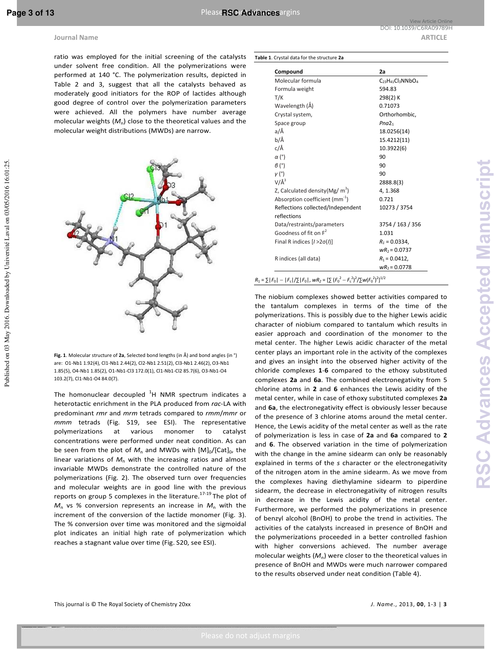Published on 03 May 2016. Downloaded by Université Laval on 03/05/2016 16:01:25.

ratio was employed for the initial screening of the catalysts under solvent free condition. All the polymerizations were performed at 140 °C. The polymerization results, depicted in Table 2 and 3, suggest that all the catalysts behaved as moderately good initiators for the ROP of lactides although good degree of control over the polymerization parameters were achieved. All the polymers have number average molecular weights  $(M<sub>n</sub>)$  close to the theoretical values and the molecular weight distributions (MWDs) are narrow.



**Fig. 1**. Molecular structure of **2a**, Selected bond lengths (in Å) and bond angles (in °) are: O1-Nb1 1.92(4), Cl1-Nb1 2.44(2), Cl2-Nb1 2.51(2), Cl3-Nb1 2.46(2), O3-Nb1 1.85(5), O4-Nb1 1.85(2), O1-Nb1-Cl3 172.0(1), Cl1-Nb1-Cl2 85.7(6), O3-Nb1-O4 103.2(7), Cl1-Nb1-O4 84.0(7).

The homonuclear decoupled  ${}^{1}$ H NMR spectrum indicates a heterotactic enrichment in the PLA produced from *rac*-LA with predominant *rmr* and *mrm* tetrads compared to *rmm*/*mmr* or *mmm* tetrads (Fig. S19, see ESI). The representative polymerizations at various monomer to catalyst concentrations were performed under neat condition. As can be seen from the plot of  $M_n$  and MWDs with  $[M]_0/[Cat]_0$ , the linear variations of  $M_n$  with the increasing ratios and almost invariable MWDs demonstrate the controlled nature of the polymerizations (Fig. 2). The observed turn over frequencies and molecular weights are in good line with the previous reports on group 5 complexes in the literature.<sup>17-19</sup> The plot of  $M_n$  vs % conversion represents an increase in  $M_n$  with the increment of the conversion of the lactide monomer (Fig. 3). The % conversion over time was monitored and the sigmoidal plot indicates an initial high rate of polymerization which reaches a stagnant value over time (Fig. S20, see ESI).

| Table 1. Crystal data for the structure 2a |  |
|--------------------------------------------|--|
|--------------------------------------------|--|

| Compound                                         | 2a                       |
|--------------------------------------------------|--------------------------|
| Molecular formula                                | $C_{23}H_{41}Cl_3NNbO_4$ |
| Formula weight                                   | 594.83                   |
| T/K                                              | 298(2) K                 |
| Wavelength (Å)                                   | 0.71073                  |
| Crystal system,                                  | Orthorhombic,            |
| Space group                                      | Pna2 <sub>1</sub>        |
| a/Å                                              | 18.0256(14)              |
| b/Å                                              | 15.4212(11)              |
| c/Å                                              | 10.3922(6)               |
| $\alpha$ (°)                                     | 90                       |
| $\beta$ (°)                                      | 90                       |
| $\nu$ (°)                                        | 90                       |
| $V/\AA$ <sup>3</sup>                             | 2888.8(3)                |
| Z, Calculated density (Mg/ $m^3$ )               | 4, 1.368                 |
| Absorption coefficient (mm <sup>-1</sup> )       | 0.721                    |
| Reflections collected/Independent<br>reflections | 10273 / 3754             |
| Data/restraints/parameters                       | 3754 / 163 / 356         |
| Goodness of fit on $F^2$                         | 1.031                    |
| Final R indices $[1>2\sigma(1)]$                 | $R_1 = 0.0334$ ,         |
|                                                  | $wR_2 = 0.0737$          |
| R indices (all data)                             | $R_1 = 0.0412$ ,         |
|                                                  | $wR_2 = 0.0778$          |

The niobium complexes showed better activities compared to the tantalum complexes in terms of the time of the polymerizations. This is possibly due to the higher Lewis acidic character of niobium compared to tantalum which results in easier approach and coordination of the monomer to the metal center. The higher Lewis acidic character of the metal center plays an important role in the activity of the complexes and gives an insight into the observed higher activity of the chloride complexes **1**-**6** compared to the ethoxy substituted complexes **2a** and **6a**. The combined electronegativity from 5 chlorine atoms in **2** and **6** enhances the Lewis acidity of the metal center, while in case of ethoxy substituted complexes **2a** and **6a**, the electronegativity effect is obviously lesser because of the presence of 3 chlorine atoms around the metal center. Hence, the Lewis acidity of the metal center as well as the rate of polymerization is less in case of **2a** and **6a** compared to **2**  and **6**. The observed variation in the time of polymerization with the change in the amine sidearm can only be reasonably explained in terms of the *s* character or the electronegativity of the nitrogen atom in the amine sidearm. As we move from the complexes having diethylamine sidearm to piperdine sidearm, the decrease in electronegativity of nitrogen results in decrease in the Lewis acidity of the metal center. Furthermore, we performed the polymerizations in presence of benzyl alcohol (BnOH) to probe the trend in activities. The activities of the catalysts increased in presence of BnOH and the polymerizations proceeded in a better controlled fashion with higher conversions achieved. The number average molecular weights (M<sub>n</sub>) were closer to the theoretical values in presence of BnOH and MWDs were much narrower compared to the results observed under neat condition (Table 4).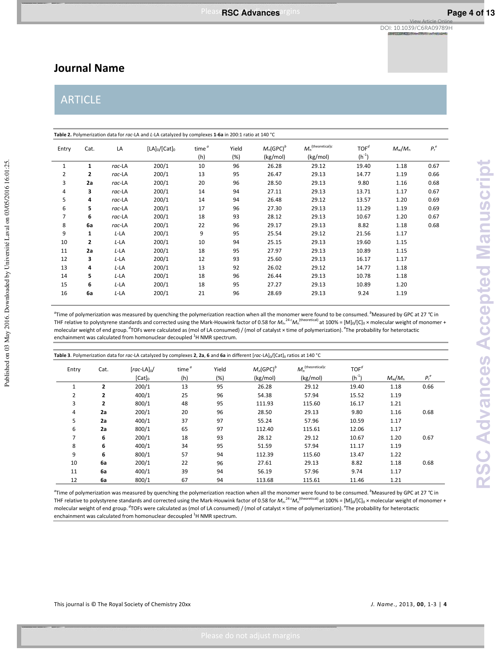# **Journal Name**

# **ARTICLE**

| Entry | Cat.           | LA        | $[LA]_0/[Cat]_0$ | time $^a$<br>(h) | Yield<br>(%) | $M_n$ (GPC) <sup>b</sup><br>(kg/mol) | $M_n^{(theoretical)c}$<br>(kg/mol) | TOF <sup>d</sup><br>$(h^{-1})$ | $M_{\rm w}/M_{\rm n}$ | $P_r^e$ |
|-------|----------------|-----------|------------------|------------------|--------------|--------------------------------------|------------------------------------|--------------------------------|-----------------------|---------|
| 1     | $\mathbf{1}$   | rac-LA    | 200/1            | 10               | 96           | 26.28                                | 29.12                              | 19.40                          | 1.18                  | 0.67    |
| 2     | $\mathbf{2}$   | rac-LA    | 200/1            | 13               | 95           | 26.47                                | 29.13                              | 14.77                          | 1.19                  | 0.66    |
| 3     | 2a             | rac-LA    | 200/1            | 20               | 96           | 28.50                                | 29.13                              | 9.80                           | 1.16                  | 0.68    |
| 4     | з              | rac-LA    | 200/1            | 14               | 94           | 27.11                                | 29.13                              | 13.71                          | 1.17                  | 0.67    |
| 5     | 4              | rac-LA    | 200/1            | 14               | 94           | 26.48                                | 29.12                              | 13.57                          | 1.20                  | 0.69    |
| 6     | 5              | rac-LA    | 200/1            | 17               | 96           | 27.30                                | 29.13                              | 11.29                          | 1.19                  | 0.69    |
| 7     | 6              | rac-LA    | 200/1            | 18               | 93           | 28.12                                | 29.13                              | 10.67                          | 1.20                  | 0.67    |
| 8     | 6a             | $rac$ -LA | 200/1            | 22               | 96           | 29.17                                | 29.13                              | 8.82                           | 1.18                  | 0.68    |
| 9     | 1              | L-LA      | 200/1            | 9                | 95           | 25.54                                | 29.12                              | 21.56                          | 1.17                  |         |
| 10    | $\overline{2}$ | L-LA      | 200/1            | 10               | 94           | 25.15                                | 29.13                              | 19.60                          | 1.15                  |         |
| 11    | 2a             | L-LA      | 200/1            | 18               | 95           | 27.97                                | 29.13                              | 10.89                          | 1.15                  |         |
| 12    | 3              | L-LA      | 200/1            | 12               | 93           | 25.60                                | 29.13                              | 16.17                          | 1.17                  |         |
| 13    | 4              | L-LA      | 200/1            | 13               | 92           | 26.02                                | 29.12                              | 14.77                          | 1.18                  |         |
| 14    | 5              | L-LA      | 200/1            | 18               | 96           | 26.44                                | 29.13                              | 10.78                          | 1.18                  |         |
| 15    | 6              | L-LA      | 200/1            | 18               | 95           | 27.27                                | 29.13                              | 10.89                          | 1.20                  |         |
| 16    | 6a             | L-LA      | 200/1            | 21               | 96           | 28.69                                | 29.13                              | 9.24                           | 1.19                  |         |

*a* Time of polymerization was measured by quenching the polymerization reaction when all the monomer were found to be consumed.*<sup>b</sup>*Measured by GPC at 27 *°*C in THF relative to polystyrene standards and corrected using the Mark-Houwink factor of 0.58 for  $M_n$ .<sup>24 c</sup> $M_n$ <sup>(theoretical)</sup> at 100% = [M]<sub>0</sub>/[C]<sub>0</sub> × molecular weight of monomer + molecular weight of end group.<sup>*d*</sup>TOFs were calculated as (mol of LA consumed) / (mol of catalyst × time of polymerization). <sup>e</sup>The probability for heterotactic enchainment was calculated from homonuclear decoupled <sup>1</sup>H NMR spectrum.

| Entry          | Cat.           | $\lceil \textit{rac}$ -LA $\rceil_0$ / | time $^{\alpha}$ | Yield | M <sub>a</sub> (GPC) <sup>b</sup> | $M_n^{(\text{theoretical})c}$ | $TOF^d$    |                       |         |
|----------------|----------------|----------------------------------------|------------------|-------|-----------------------------------|-------------------------------|------------|-----------------------|---------|
|                |                | $[Cat]_0$                              | (h)              | (%)   | (kg/mol)                          | (kg/mol)                      | $(h^{-1})$ | $M_{\rm w}/M_{\rm n}$ | $P_r^e$ |
|                | $\overline{2}$ | 200/1                                  | 13               | 95    | 26.28                             | 29.12                         | 19.40      | 1.18                  | 0.66    |
| $\overline{2}$ | 2              | 400/1                                  | 25               | 96    | 54.38                             | 57.94                         | 15.52      | 1.19                  |         |
| 3              | $\overline{2}$ | 800/1                                  | 48               | 95    | 111.93                            | 115.60                        | 16.17      | 1.21                  |         |
| 4              | 2a             | 200/1                                  | 20               | 96    | 28.50                             | 29.13                         | 9.80       | 1.16                  | 0.68    |
| 5              | 2a             | 400/1                                  | 37               | 97    | 55.24                             | 57.96                         | 10.59      | 1.17                  |         |
| 6              | 2a             | 800/1                                  | 65               | 97    | 112.40                            | 115.61                        | 12.06      | 1.17                  |         |
| 7              | 6              | 200/1                                  | 18               | 93    | 28.12                             | 29.12                         | 10.67      | 1.20                  | 0.67    |
| 8              | 6              | 400/1                                  | 34               | 95    | 51.59                             | 57.94                         | 11.17      | 1.19                  |         |
| 9              | 6              | 800/1                                  | 57               | 94    | 112.39                            | 115.60                        | 13.47      | 1.22                  |         |
| 10             | 6a             | 200/1                                  | 22               | 96    | 27.61                             | 29.13                         | 8.82       | 1.18                  | 0.68    |
| 11             | 6a             | 400/1                                  | 39               | 94    | 56.19                             | 57.96                         | 9.74       | 1.17                  |         |
| 12             | 6a             | 800/1                                  | 67               | 94    | 113.68                            | 115.61                        | 11.46      | 1.21                  |         |

*a* Time of polymerization was measured by quenching the polymerization reaction when all the monomer were found to be consumed.*<sup>b</sup>*Measured by GPC at 27 *°*C in THF relative to polystyrene standards and corrected using the Mark-Houwink factor of 0.58 for  $M_n$ .<sup>24 c</sup> $M_n$ <sup>(theoretical)</sup> at 100% = [M]<sub>0</sub>/[C]<sub>0</sub> × molecular weight of monomer + molecular weight of end group.<sup>d</sup>TOFs were calculated as (mol of LA consumed) / (mol of catalyst × time of polymerization). <sup>e</sup>The probability for heterotactic enchainment was calculated from homonuclear decoupled <sup>1</sup>H NMR spectrum.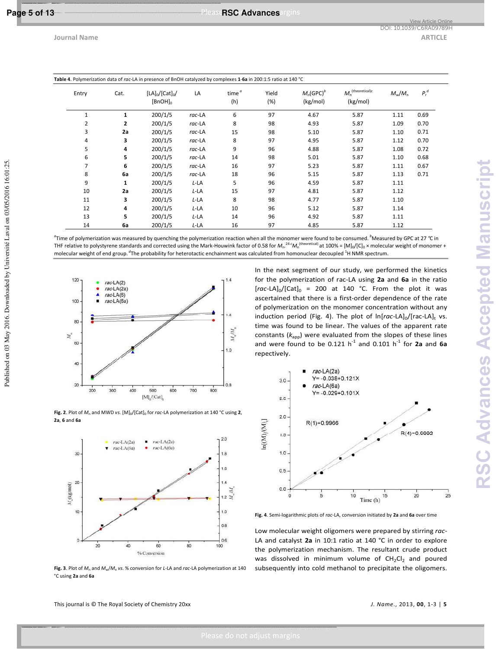Published on 03 May 2016. Downloaded by Université Laval on 03/05/2016 16:01:25.

|                |              | Table 4. Polymerization data of rac-LA in presence of BnOH catalyzed by complexes 1-6a in 200:1:5 ratio at 140 °C |        |                          |              |                                      |                                           |                       |         |  |
|----------------|--------------|-------------------------------------------------------------------------------------------------------------------|--------|--------------------------|--------------|--------------------------------------|-------------------------------------------|-----------------------|---------|--|
| Entry          | Cat.         | $[LA]_0/[Cat]_0/$<br>$[BnOH]_0$                                                                                   | LA     | time <sup>a</sup><br>(h) | Yield<br>(%) | $M_n$ (GPC) <sup>b</sup><br>(kg/mol) | $M_n^{(\text{theoretical})c}$<br>(kg/mol) | $M_{\rm w}/M_{\rm n}$ | $P_r^d$ |  |
| 1              | $\mathbf{1}$ | 200/1/5                                                                                                           | rac-LA | 6                        | 97           | 4.67                                 | 5.87                                      | 1.11                  | 0.69    |  |
| 2              | $\mathbf{2}$ | 200/1/5                                                                                                           | rac-LA | 8                        | 98           | 4.93                                 | 5.87                                      | 1.09                  | 0.70    |  |
| 3              | 2a           | 200/1/5                                                                                                           | rac-LA | 15                       | 98           | 5.10                                 | 5.87                                      | 1.10                  | 0.71    |  |
| 4              | 3            | 200/1/5                                                                                                           | rac-LA | 8                        | 97           | 4.95                                 | 5.87                                      | 1.12                  | 0.70    |  |
| 5              | 4            | 200/1/5                                                                                                           | rac-LA | 9                        | 96           | 4.88                                 | 5.87                                      | 1.08                  | 0.72    |  |
| 6              | 5            | 200/1/5                                                                                                           | rac-LA | 14                       | 98           | 5.01                                 | 5.87                                      | 1.10                  | 0.68    |  |
| $\overline{7}$ | 6            | 200/1/5                                                                                                           | rac-LA | 16                       | 97           | 5.23                                 | 5.87                                      | 1.11                  | 0.67    |  |
| 8              | 6a           | 200/1/5                                                                                                           | rac-LA | 18                       | 96           | 5.15                                 | 5.87                                      | 1.13                  | 0.71    |  |
| 9              | $\mathbf{1}$ | 200/1/5                                                                                                           | L-LA   | 5                        | 96           | 4.59                                 | 5.87                                      | 1.11                  |         |  |
| 10             | 2a           | 200/1/5                                                                                                           | L-LA   | 15                       | 97           | 4.81                                 | 5.87                                      | 1.12                  |         |  |
| 11             | 3            | 200/1/5                                                                                                           | L-LA   | 8                        | 98           | 4.77                                 | 5.87                                      | 1.10                  |         |  |
| 12             | 4            | 200/1/5                                                                                                           | L-LA   | 10                       | 96           | 5.12                                 | 5.87                                      | 1.14                  |         |  |
| 13             | 5            | 200/1/5                                                                                                           | L-LA   | 14                       | 96           | 4.92                                 | 5.87                                      | 1.11                  |         |  |
| 14             | 6a           | 200/1/5                                                                                                           | L-LA   | 16                       | 97           | 4.85                                 | 5.87                                      | 1.12                  |         |  |

*a* Time of polymerization was measured by quenching the polymerization reaction when all the monomer were found to be consumed.*<sup>b</sup>*Measured by GPC at 27 *°*C in THF relative to polystyrene standards and corrected using the Mark-Houwink factor of 0.58 for  $M_n$ .<sup>24 c</sup> $M_n$ <sup>(theoretical)</sup> at 100% = [M]<sub>0</sub>/[C]<sub>0</sub> × molecular weight of monomer + molecular weight of end group. <sup>d</sup>The probability for heterotactic enchainment was calculated from homonuclear decoupled <sup>1</sup>H NMR spectrum.



Fig. 2. Plot of  $M_n$  and MWD *vs*. [M]<sub>0</sub>/[Cat]<sub>0</sub> for *rac*-LA polymerization at 140 °C using 2, **2a**, **6** and **6a** 



**Fig. 3**. Plot of *M*n and *M*w/*M*<sup>n</sup> *vs*. % conversion for *L*-LA and *rac*-LA polymerization at 140 °C using **2a** and **6a** 

In the next segment of our study, we performed the kinetics for the polymerization of rac-LA using **2a** and **6a** in the ratio  $\left[\text{rac-LA}\right]_0/\left[\text{Cat}\right]_0 = 200$  at 140 °C. From the plot it was ascertained that there is a first-order dependence of the rate of polymerization on the monomer concentration without any induction period (Fig. 4). The plot of ln[rac-LA]<sub>0</sub>/[rac-LA]<sub>t</sub> vs. time was found to be linear. The values of the apparent rate constants ( $k<sub>app</sub>$ ) were evaluated from the slopes of these lines and were found to be  $0.121$  h<sup>-1</sup> and  $0.101$  h<sup>-1</sup> for 2a and 6a repectively.



**Fig. 4**. Semi-logarithmic plots of *rac*-LA, conversion initiated by **2a** and **6a** over time

Low molecular weight oligomers were prepared by stirring *rac*-LA and catalyst **2a** in 10:1 ratio at 140 °C in order to explore the polymerization mechanism. The resultant crude product was dissolved in minimum volume of  $CH_2Cl_2$  and poured subsequently into cold methanol to precipitate the oligomers.

This journal is © The Royal Society of Chemistry 20xx *J. Name*., 2013, **00**, 1-3 | **5**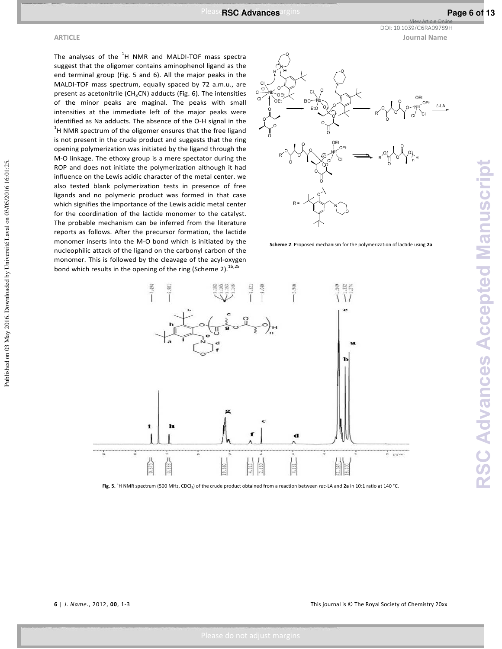Published on 03 May 2016. Downloaded by Université Laval on 03/05/2016 16:01:25.

The analyses of the  ${}^{1}$ H NMR and MALDI-TOF mass spectra suggest that the oligomer contains aminophenol ligand as the end terminal group (Fig. 5 and 6). All the major peaks in the MALDI-TOF mass spectrum, equally spaced by 72 a.m.u., are present as acetonitrile ( $CH<sub>3</sub>CN$ ) adducts (Fig. 6). The intensities of the minor peaks are maginal. The peaks with small intensities at the immediate left of the major peaks were identified as Na adducts. The absence of the O-H signal in the  $1$ H NMR spectrum of the oligomer ensures that the free ligand is not present in the crude product and suggests that the ring opening polymerization was initiated by the ligand through the M-O linkage. The ethoxy group is a mere spectator during the ROP and does not initiate the polymerization although it had influence on the Lewis acidic character of the metal center. we also tested blank polymerization tests in presence of free ligands and no polymeric product was formed in that case which signifies the importance of the Lewis acidic metal center for the coordination of the lactide monomer to the catalyst. The probable mechanism can be inferred from the literature reports as follows. After the precursor formation, the lactide monomer inserts into the M-O bond which is initiated by the nucleophilic attack of the ligand on the carbonyl carbon of the monomer. This is followed by the cleavage of the acyl-oxygen bond which results in the opening of the ring (Scheme 2).<sup>1b,25</sup>



**Scheme 2**. Proposed mechanism for the polymerization of lactide using **2a**



**Fig. 5.** <sup>1</sup> H NMR spectrum (500 MHz, CDCl3) of the crude product obtained from a reaction between *rac*-LA and **2a** in 10:1 ratio at 140 °C.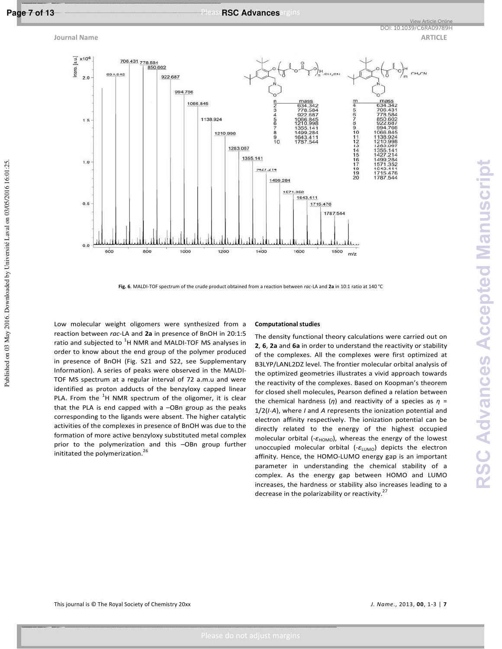

Published on 03 May 2016. Downloaded by Université Laval on 03/05/2016 16:01:25.

## Page 7 of 13 **Research Margins Margins Measures** PleaseRSC Advances argins



**Fig. 6**. MALDI-TOF spectrum of the crude product obtained from a reaction between *rac*-LA and **2a** in 10:1 ratio at 140 °C

Low molecular weight oligomers were synthesized from a reaction between *rac*-LA and **2a** in presence of BnOH in 20:1:5 ratio and subjected to  ${}^{1}$ H NMR and MALDI-TOF MS analyses in order to know about the end group of the polymer produced in presence of BnOH (Fig. S21 and S22, see Supplementary Information). A series of peaks were observed in the MALDI-TOF MS spectrum at a regular interval of 72 a.m.u and were identified as proton adducts of the benzyloxy capped linear PLA. From the  ${}^{1}$ H NMR spectrum of the oligomer, it is clear that the PLA is end capped with a –OBn group as the peaks corresponding to the ligands were absent. The higher catalytic activities of the complexes in presence of BnOH was due to the formation of more active benzyloxy substituted metal complex prior to the polymerization and this –OBn group further inititated the polymerization.<sup>26</sup>

#### **Computational studies**

The density functional theory calculations were carried out on **2**, **6**, **2a** and **6a** in order to understand the reactivity or stability of the complexes. All the complexes were first optimized at B3LYP/LANL2DZ level. The frontier molecular orbital analysis of the optimized geometries illustrates a vivid approach towards the reactivity of the complexes. Based on Koopman's theorem for closed shell molecules, Pearson defined a relation between the chemical hardness (*η*) and reactivity of a species as *η* = 1/2(*I-A*), where *I* and *A* represents the ionization potential and electron affinity respectively. The ionization potential can be directly related to the energy of the highest occupied molecular orbital (-ε<sub>HOMO</sub>), whereas the energy of the lowest unoccupied molecular orbital (-ε<sub>LUMO</sub>) depicts the electron affinity. Hence, the HOMO-LUMO energy gap is an important parameter in understanding the chemical stability of a complex. As the energy gap between HOMO and LUMO increases, the hardness or stability also increases leading to a decrease in the polarizability or reactivity. $27$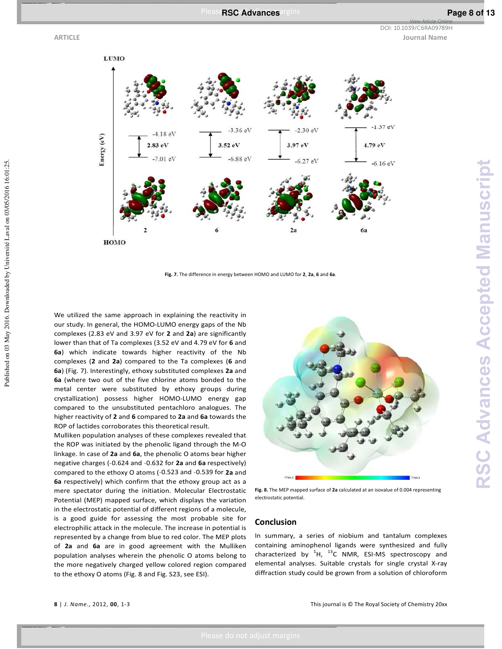Published on 03 May 2016. Downloaded by Université Laval on 03/05/2016 16:01:25.

**ARTICLE Journal Name** DOI: 10.1039/C6RA09789H

View Article Online



**Fig. 7.** The difference in energy between HOMO and LUMO for **2**, **2a**, **6** and **6a**.

We utilized the same approach in explaining the reactivity in our study. In general, the HOMO-LUMO energy gaps of the Nb complexes (2.83 eV and 3.97 eV for **2** and **2a**) are significantly lower than that of Ta complexes (3.52 eV and 4.79 eV for **6** and **6a**) which indicate towards higher reactivity of the Nb complexes (**2** and **2a**) compared to the Ta complexes (**6** and **6a**) (Fig. 7). Interestingly, ethoxy substituted complexes **2a** and **6a** (where two out of the five chlorine atoms bonded to the metal center were substituted by ethoxy groups during crystallization) possess higher HOMO-LUMO energy gap compared to the unsubstituted pentachloro analogues. The higher reactivity of **2** and **6** compared to **2a** and **6a** towards the ROP of lactides corroborates this theoretical result.

Mulliken population analyses of these complexes revealed that the ROP was initiated by the phenolic ligand through the M-O linkage. In case of **2a** and **6a**, the phenolic O atoms bear higher negative charges (˗0.624 and ˗0.632 for **2a** and **6a** respectively) compared to the ethoxy O atoms (-0.523 and -0.539 for 2a and **6a** respectively) which confirm that the ethoxy group act as a mere spectator during the initiation. Molecular Electrostatic Potential (MEP) mapped surface, which displays the variation in the electrostatic potential of different regions of a molecule, is a good guide for assessing the most probable site for electrophilic attack in the molecule. The increase in potential is represented by a change from blue to red color. The MEP plots of **2a** and **6a** are in good agreement with the Mulliken population analyses wherein the phenolic O atoms belong to the more negatively charged yellow colored region compared to the ethoxy O atoms (Fig. 8 and Fig. S23, see ESI).



**Fig. 8.** The MEP mapped surface of **2a** calculated at an isovalue of 0.004 representing electrostatic potential.

### **Conclusion**

In summary, a series of niobium and tantalum complexes containing aminophenol ligands were synthesized and fully characterized by  ${}^{1}$ H,  ${}^{13}$ C NMR, ESI-MS spectroscopy and elemental analyses. Suitable crystals for single crystal X-ray diffraction study could be grown from a solution of chloroform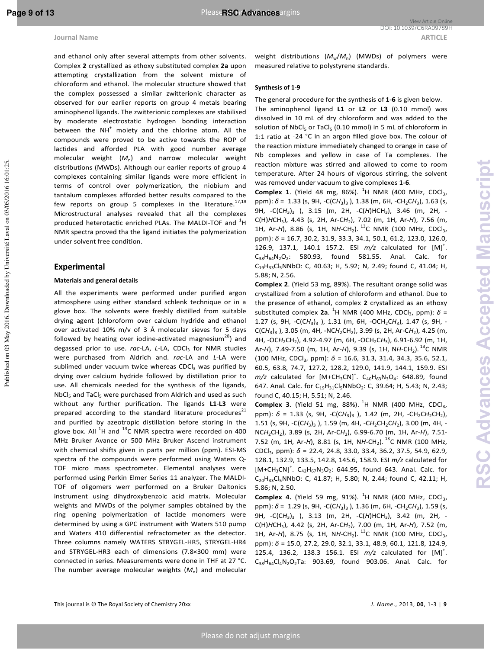and ethanol only after several attempts from other solvents. Complex **2** crystallized as ethoxy substituted complex **2a** upon attempting crystallization from the solvent mixture of chloroform and ethanol. The molecular structure showed that the complex possessed a similar zwitterionic character as observed for our earlier reports on group 4 metals bearing aminophenol ligands. The zwitterionic complexes are stabilised by moderate electrostatic hydrogen bonding interaction between the NH<sup>+</sup> moiety and the chlorine atom. All the compounds were proved to be active towards the ROP of lactides and afforded PLA with good number average molecular weight (*M*n) and narrow molecular weight distributions (MWDs). Although our earlier reports of group 4 complexes containing similar ligands were more efficient in terms of control over polymerization, the niobium and tantalum complexes afforded better results compared to the few reports on group 5 complexes in the literature.<sup>17,19</sup> Microstructural analyses revealed that all the complexes produced heterotactic enriched PLAs. The MALDI-TOF and  $^{1}$ H NMR spectra proved tha the ligand initiates the polymerization under solvent free condition.

## **Experimental**

Published on 03 May 2016. Downloaded by Université Laval on 03/05/2016 16:01:25.

Published on 03 May 2016. Downloaded by Université Laval on 03/05/2016 16:01:25.

#### **Materials and general details**

All the experiments were performed under purified argon atmosphere using either standard schlenk technique or in a glove box. The solvents were freshly distilled from suitable drying agent (chloroform over calcium hydride and ethanol over activated 10% m/v of 3 Å molecular sieves for 5 days followed by heating over iodine-activated magnesium<sup>28</sup>) and degassed prior to use. rac-LA, L-LA, CDCl<sub>3</sub> for NMR studies were purchased from Aldrich and. *rac*-LA and *L*-LA were sublimed under vacuum twice whereas CDCl<sub>3</sub> was purified by drying over calcium hydride followed by distillation prior to use. All chemicals needed for the synthesis of the ligands, NbCl<sub>5</sub> and TaCl<sub>5</sub> were purchased from Aldrich and used as such without any further purification. The ligands **L1**-**L3** were prepared according to the standard literature procedures $21$ and purified by azeotropic distillation before storing in the glove box. All  $^{1}$ H and  $^{13}$ C NMR spectra were recorded on 400 MHz Bruker Avance or 500 MHz Bruker Ascend instrument with chemical shifts given in parts per million (ppm). ESI-MS spectra of the compounds were performed using Waters Q-TOF micro mass spectrometer. Elemental analyses were performed using Perkin Elmer Series 11 analyzer. The MALDI-TOF of oligomers werr performed on a Bruker Daltonics instrument using dihydroxybenzoic acid matrix. Molecular weights and MWDs of the polymer samples obtained by the ring opening polymerization of lactide monomers were determined by using a GPC instrument with Waters 510 pump and Waters 410 differential refractometer as the detector. Three columns namely WATERS STRYGEL-HR5, STRYGEL-HR4 and STRYGEL-HR3 each of dimensions (7.8×300 mm) were connected in series. Measurements were done in THF at 27 °C. The number average molecular weights  $(M<sub>n</sub>)$  and molecular

#### **Synthesis of 1-9**

The general procedure for the synthesis of **1**-**6** is given below. The aminophenol ligand **L1** or **L2** or **L3** (0.10 mmol) was dissolved in 10 mL of dry chloroform and was added to the solution of NbCl<sub>5</sub> or TaCl<sub>5</sub> (0.10 mmol) in 5 mL of chloroform in 1:1 ratio at -24 °C in an argon filled glove box. The colour of the reaction mixture immediately changed to orange in case of Nb complexes and yellow in case of Ta complexes. The reaction mixture was stirred and allowed to come to room temperature. After 24 hours of vigorous stirring, the solvent was removed under vacuum to give complexes **1**-**6**.

**Complex 1.** (Yield 48 mg, 86%).  ${}^{1}$ H NMR (400 MHz, CDCl<sub>3</sub>, ppm):  $\delta$  = 1.33 (s, 9H, -C(CH<sub>3</sub>)<sub>3</sub>), 1.38 (m, 6H, -CH<sub>2</sub>CH<sub>3</sub>), 1.63 (s, 9H, -C(CH<sub>3</sub>)<sub>3</sub> ), 3.15 (m, 2H, -C(H)HCH<sub>3</sub>), 3.46 (m, 2H, -C(H)*H*CH<sup>3</sup> ), 4.43 (s, 2H, Ar-C*H*<sup>2</sup> ), 7.02 (m, 1H, Ar-*H*), 7.56 (m, 1H, Ar-H), 8.86 (s, 1H, NH-CH<sub>2</sub>). <sup>13</sup>C NMR (100 MHz, CDCl<sub>3</sub>, ppm): *δ* = 16.7, 30.2, 31.9, 33.3, 34.1, 50.1, 61.2, 123.0, 126.0, 126.9, 137.1, 140.1 157.2. ESI  $m/z$  calculated for [M]<sup>+</sup>.  $C_{38}H_{64}N_2O_2$ : 580.93, found 581.55. Anal. Calc. for C19H33Cl5NNbO: C, 40.63; H, 5.92; N, 2.49; found C, 41.04; H, 5.88; N, 2.56.

**Complex 2**. (Yield 53 mg, 89%). The resultant orange solid was crystallized from a solution of chloroform and ethanol. Due to the presence of ethanol, complex **2** crystallized as an ethoxy substituted complex **2a**. <sup>1</sup>H NMR (400 MHz, CDCl<sub>3</sub>, ppm):  $\delta$  = 1.27 (s, 9H, -C(CH<sub>3</sub>)<sub>3</sub> ), 1.31 (m, 6H, -OCH<sub>2</sub>CH<sub>3</sub>), 1.47 (s, 9H, -C(C*H*<sup>3</sup> )3 ), 3.05 (m, 4H, -NC*H*2CH<sup>2</sup> ), 3.99 (s, 2H, Ar-C*H*<sup>2</sup> ), 4.25 (m, 4H, -OCH<sub>2</sub>CH<sub>2</sub>), 4.92-4.97 (m, 6H, -OCH<sub>2</sub>CH<sub>3</sub>), 6.91-6.92 (m, 1H, Ar-*H*), 7.49-7.50 (m, 1H, Ar-*H*), 9.39 (s, 1H, N*H-*CH<sub>2</sub>). <sup>13</sup>C NMR (100 MHz, CDCl<sub>3</sub>, ppm): δ = 16.6, 31.3, 31.4, 34.3, 35.6, 52.1, 60.5, 63.8, 74.7, 127.2, 128.2, 129.0, 141.9, 144.1, 159.9. ESI  $m/z$  calculated for  $[M + CH_3CN]^{\dagger}$ .  $C_{40}H_{63}N_3O_4$ : 648.89, found 647. Anal. Calc. for C<sub>19</sub>H<sub>31</sub>Cl<sub>5</sub>NNbO<sub>2</sub>: C, 39.64; H, 5.43; N, 2.43; found C, 40.15; H, 5.51; N, 2.46.

**Complex 3.** (Yield 51 mg, 88%).  ${}^{1}$ H NMR (400 MHz, CDCl<sub>3</sub>, ppm):  $\delta$  = 1.33 (s, 9H, -C(CH<sub>3</sub>)<sub>3</sub> ), 1.42 (m, 2H, -CH<sub>2</sub>CH<sub>2</sub>CH<sub>2</sub>), 1.51 (s, 9H, -C(CH<sub>3</sub>)<sub>3</sub>), 1.59 (m, 4H, -CH<sub>2</sub>CH<sub>2</sub>CH<sub>2</sub>), 3.00 (m, 4H, -NC*H*2CH<sup>2</sup> ), 3.89 (s, 2H, Ar-C*H*<sup>2</sup> ), 6.99-6.70 (m, 1H, Ar-*H*), 7.51- 7.52 (m, 1H, Ar-H), 8.81 (s, 1H, NH-CH<sub>2</sub>). <sup>13</sup>C NMR (100 MHz, CDCl<sup>3</sup> , ppm): *δ* = 22.4, 24.8, 33.0, 33.4, 36.2, 37.5, 54.9, 62.9, 128.1, 132.9, 133.5, 142.8, 145.6, 158.9. ESI *m/z* calculated for  $[M+CH_3CN]^+$ .  $C_{42}H_{67}N_3O_2$ : 644.95, found 643. Anal. Calc. for C20H33Cl5NNbO: C, 41.87; H, 5.80; N, 2.44; found C, 42.11; H, 5.86; N, 2.50.

**Complex 4.** (Yield 59 mg, 91%).  ${}^{1}$ H NMR (400 MHz, CDCl<sub>3</sub>, ppm):  $\delta$  = 1.29 (s, 9H, -C(CH<sub>3</sub>)<sub>3</sub>), 1.36 (m, 6H, -CH<sub>2</sub>CH<sub>3</sub>), 1.59 (s, 9H, -C(CH<sub>3</sub>)<sub>3</sub> ), 3.13 (m, 2H, -C(H)HCH<sub>3</sub>), 3.42 (m, 2H, -C(H)*H*CH<sup>3</sup> ), 4.42 (s, 2H, Ar-C*H*<sup>2</sup> ), 7.00 (m, 1H, Ar-*H*), 7.52 (m, 1H, Ar-H), 8.75 (s, 1H, NH-CH<sub>2</sub>). <sup>13</sup>C NMR (100 MHz, CDCl<sub>3</sub>, ppm): *δ* = 15.0, 27.2, 29.0, 32.1, 33.1, 48.9, 60.1, 121.8, 124.9, 125.4, 136.2, 138.3 156.1. ESI *m/z* calculated for [M]<sup>+</sup> .  $C_{38}H_{64}Cl_4N_2O_2Ta$ : 903.69, found 903.06. Anal. Calc. for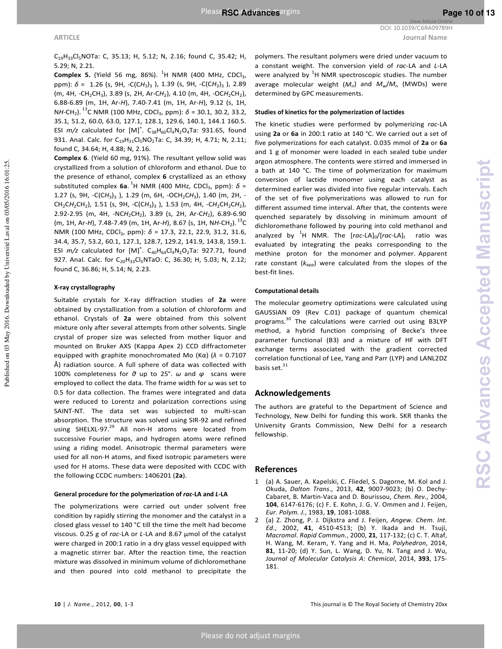**ARTICLE Journal Name** View Article Online DOI: 10.1039/C6RA09789H

C19H33Cl5NOTa: C, 35.13; H, 5.12; N, 2.16; found C, 35.42; H, 5.29; N, 2.21.

**Complex 5.** (Yield 56 mg, 86%).  ${}^{1}$ H NMR (400 MHz, CDCl<sub>3</sub>, ppm):  $\delta$  = 1.26 (s, 9H, -C(CH<sub>3</sub>)<sub>3</sub> ), 1.39 (s, 9H, -C(CH<sub>3</sub>)<sub>3</sub> ), 2.89 (m, 4H, -CH<sub>2</sub>CH<sub>3</sub>), 3.89 (s, 2H, Ar-CH<sub>2</sub>), 4.10 (m, 4H, -OCH<sub>2</sub>CH<sub>2</sub>), 6.88-6.89 (m, 1H, Ar-*H*), 7.40-7.41 (m, 1H, Ar-*H*), 9.12 (s, 1H, NH-CH<sub>2</sub>).<sup>13</sup>C NMR (100 MHz, CDCl<sub>3</sub>, ppm): *δ* = 30.1, 30.2, 33.2, 35.1, 51.2, 60.0, 63.0, 127.1, 128.1, 129.6, 140.1, 144.1 160.5. ESI  $m/z$  calculated for  $[M]^{\dagger}$ .  $C_{38}H_{60}Cl_4N_2O_4Ta$ : 931.65, found 931. Anal. Calc. for C<sub>19</sub>H<sub>31</sub>Cl<sub>5</sub>NO<sub>2</sub>Ta: C, 34.39; H, 4.71; N, 2.11; found C, 34.64; H, 4.88; N, 2.16.

**Complex 6**. (Yield 60 mg, 91%). The resultant yellow solid was crystallized from a solution of chloroform and ethanol. Due to the presence of ethanol, complex **6** crystallized as an ethoxy  $s$ ubstituted complex **6a**.  ${}^{1}$ H NMR (400 MHz, CDCl<sub>3</sub>, ppm):  $\delta$  = 1.27 (s, 9H, -C(CH<sub>3</sub>)<sub>3</sub> ), 1.29 (m, 6H, -OCH<sub>2</sub>CH<sub>3</sub>), 1.40 (m, 2H, -CH<sub>2</sub>CH<sub>2</sub>CH<sub>2</sub>), 1.51 (s, 9H, -C(CH<sub>3</sub>)<sub>3</sub> ), 1.53 (m, 4H, -CH<sub>2</sub>CH<sub>2</sub>CH<sub>2</sub>), 2.92-2.95 (m, 4H, -NCH<sub>2</sub>CH<sub>2</sub>), 3.89 (s, 2H, Ar-CH<sub>2</sub>), 6.89-6.90 (m, 1H, Ar-H), 7.48-7.49 (m, 1H, Ar-H), 8.67 (s, 1H, NH-CH<sub>2</sub>).  $^{13}$ C NMR (100 MHz, CDCl<sub>3</sub>, ppm): δ = 17.3, 22.1, 22.9, 31.2, 31.6, 34.4, 35.7, 53.2, 60.1, 127.1, 128.7, 129.2, 141.9, 143.8, 159.1. ESI  $m/z$  calculated for  $[M]^{\dagger}$ .  $C_{40}H_{64}Cl_{4}N_{2}O_{2}Ta$ : 927.71, found 927. Anal. Calc. for C<sub>20</sub>H<sub>33</sub>Cl<sub>5</sub>NTaO: C, 36.30; H, 5.03; N, 2.12; found C, 36.86; H, 5.14; N, 2.23.

## **X-ray crystallography**

Suitable crystals for X-ray diffraction studies of **2a** were obtained by crystallization from a solution of chloroform and ethanol. Crystals of **2a** were obtained from this solvent mixture only after several attempts from other solvents. Single crystal of proper size was selected from mother liquor and mounted on Bruker AXS (Kappa Apex 2) CCD diffractometer equipped with graphite monochromated Mo (Kα) (*λ* = 0.7107 Å) radiation source. A full sphere of data was collected with 100% completeness for *θ* up to 25°. *ω* and *φ* scans were employed to collect the data. The frame width for *ω* was set to 0.5 for data collection. The frames were integrated and data were reduced to Lorentz and polarization corrections using SAINT-NT. The data set was subjected to multi-scan absorption. The structure was solved using SIR-92 and refined using SHELXL-97.<sup>29</sup> All non-H atoms were located from successive Fourier maps, and hydrogen atoms were refined using a riding model. Anisotropic thermal parameters were used for all non-H atoms, and fixed isotropic parameters were used for H atoms. These data were deposited with CCDC with the following CCDC numbers: 1406201 (**2a**).

#### **General procedure for the polymerization of** *rac***-LA and** *L***-LA**

The polymerizations were carried out under solvent free condition by rapidly stirring the monomer and the catalyst in a closed glass vessel to 140 °C till the time the melt had become viscous. 0.25 g of *rac*-LA or *L*-LA and 8.67 µmol of the catalyst were charged in 200:1 ratio in a dry glass vessel equipped with a magnetic stirrer bar. After the reaction time, the reaction mixture was dissolved in minimum volume of dichloromethane and then poured into cold methanol to precipitate the polymers. The resultant polymers were dried under vacuum to a constant weight. The conversion yield of *rac*-LA and *L*-LA were analyzed by  ${}^{1}$ H NMR spectroscopic studies. The number average molecular weight  $(M_n)$  and  $M_w/M_n$  (MWDs) were determined by GPC measurements.

#### **Studies of kinetics for the polymerization of lactides**

The kinetic studies were performed by polymerizing *rac*-LA using **2a** or **6a** in 200:1 ratio at 140 °C. We carried out a set of five polymerizations for each catalyst. 0.035 mmol of **2a** or **6a** and 1 g of monomer were loaded in each sealed tube under argon atmosphere. The contents were stirred and immersed in a bath at 140 °C. The time of polymerization for maximum conversion of lactide monomer using each catalyst as determined earlier was divided into five regular intervals. Each of the set of five polymerizations was allowed to run for different assumed time interval. After that, the contents were quenched separately by dissolving in minimum amount of dichloromethane followed by pouring into cold methanol and analyzed by <sup>1</sup>H NMR. The [*rac-LA*]<sub>0</sub>/[*rac-LA*]<sub>t</sub> ratio was evaluated by integrating the peaks corresponding to the methine proton for the monomer and polymer. Apparent rate constant  $(k<sub>app</sub>)$  were calculated from the slopes of the best-fit lines.

#### **Computational details**

The molecular geometry optimizations were calculated using GAUSSIAN 09 (Rev C.01) package of quantum chemical programs. <sup>30</sup> The calculations were carried out using B3LYP method, a hybrid function comprising of Becke's three parameter functional (B3) and a mixture of HF with DFT exchange terms associated with the gradient corrected correlation functional of Lee, Yang and Parr (LYP) and LANL2DZ basis set. $31$ 

#### **Acknowledgements**

The authors are grateful to the Department of Science and Technology, New Delhi for funding this work. SKR thanks the University Grants Commission, New Delhi for a research fellowship.

### **References**

- 1 (a) A. Sauer, A. Kapelski, C. Fliedel, S. Dagorne, M. Kol and J. Okuda, *Dalton Trans*., 2013, **42**, 9007-9023; (b) O. Dechy-Cabaret, B. Martin-Vaca and D. Bourissou, *Chem. Rev*., 2004, **104**, 6147-6176; (c) F. E. Kohn, J. G. V. Ommen and J. Feijen, *Eur. Polym. J.*, 1983, **19**, 1081-1088.
- 2 (a) Z. Zhong, P. J. Dijkstra and J. Feijen, *Angew. Chem. Int. Ed.*, 2002, **41**, 4510-4513; (b) Y. Ikada and H. Tsuji, *Macromol. Rapid Commun.*, 2000, **21**, 117-132; (c) C. T. Altaf, H. Wang, M. Keram, Y. Yang and H. Ma, *Polyhedron*, 2014, **81**, 11-20; (d) Y. Sun, L. Wang, D. Yu, N. Tang and J. Wu, *Journal of Molecular Catalysis A: Chemical*, 2014, **393**, 175- 181.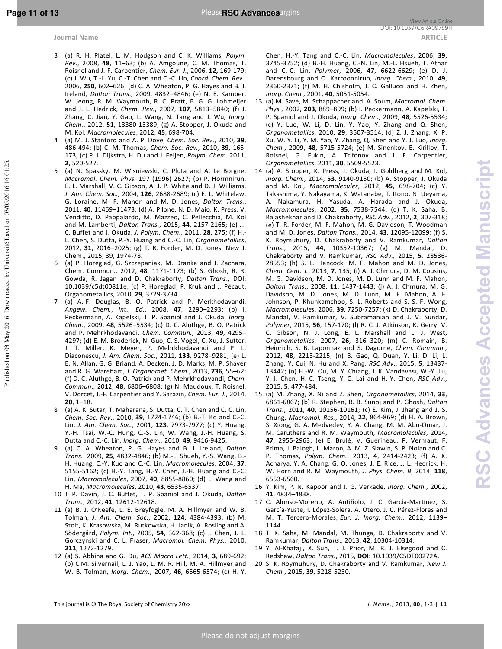- 3 (a) R. H. Platel, L. M. Hodgson and C. K. Williams, *Polym. Rev*., 2008, **48**, 11–63; (b) A. Amgoune, C. M. Thomas, T. Roisnel and J.-F. Carpentier, *Chem. Eur. J.*, 2006, **12,** 169-179; (c) J. Wu, T.-L. Yu, C.-T. Chen and C.-C. Lin, *Coord. Chem. Rev*., 2006, **250**, 602–626; (d) C. A. Wheaton, P. G. Hayes and B. J. Ireland, *Dalton Trans*., 2009, 4832–4846; (e) N. E. Kamber, W. Jeong, R. M. Waymouth, R. C. Pratt, B. G. G. Lohmeijer and J. L. Hedrick, *Chem. Rev.*, 2007, **107**, 5813–5840; (f) J. Zhang, C. Jian, Y. Gao, L. Wang, N. Tang and J. Wu, *Inorg. Chem.*, 2012, **51**, 13380-13389; (g) A. Stopper, J. Okuda and M. Kol, *Macromolecules*, 2012, **45**, 698-704.
- 4 (a) M. J. Stanford and A. P. Dove, *Chem. Soc. Rev*., 2010, **39**, 486-494; (b) C. M. Thomas, *Chem. Soc. Rev.*, 2010, **39**, 165- 173; (c) P. J. Dijkstra, H. Du and J. Feijen, *Polym. Chem.* 2011, **2**, 520-527.
- (a) N. Spassky, M. Wisniewski, C. Pluta and A. Le Borgne, *Macromol. Chem. Phys.* 197 (1996) 2627; (b) P. Hormnirun, E. L. Marshall, V. C. Gibson, A. J. P. White and D. J. Williams, *J. Am. Chem. Soc.*, 2004, **126**, 2688-2689; (c) E. L. Whitelaw, G. Loraine, M. F. Mahon and M. D. Jones, *Dalton Trans.*, 2011, **40**, 11469–11473; (d) A. Pilone, N. D. Maio, K. Press, V. Venditto, D. Pappalardo, M. Mazzeo, C. Pellecchia, M. Kol and M. Lamberti, *Dalton Trans.*, 2015, **44**, 2157-2165; (e) J.- C. Buffet and J. Okuda, *J. Polym. Chem.*, 2011, **28**, 275; (f) H.- L. Chen, S. Dutta, P.-Y. Huang and C.-C. Lin, *Organometallics*, 2012, **31**, 2016–2025; (g) T. R. Forder, M. D. Jones. New J. Chem., 2015, 39, 1974-78.
- 6 (a) P. Horeglad, G. Szczepaniak, M. Dranka and J. Zachara, Chem. Commun., 2012, **48**, 1171-1173; (b) S. Ghosh, R. R. Gowda, R. Jagan and D. Chakraborty, *Dalton Trans*., DOI: 10.1039/c5dt00811e; (c) P. Horeglad, P. Kruk and J. Pécaut, Organometallics, 2010, **29**, 3729-3734.
- 7 (a) A.-F. Douglas, B. O. Patrick and P. Merkhodavandi, *Angew. Chem.*, *Int., Ed.*, 2008, **47**, 2290–2293; (b) I. Peckermann, A. Kapelski, T. P. Spaniol and J. Okuda, *Inorg. Chem.*, 2009, **48**, 5526–5534; (c) D. C. Aluthge, B. O. Patrick and P. Mehrkhodavandi, *Chem. Commun.*, 2013, **49**, 4295– 4297; (d) E. M. Broderick, N. Guo, C. S. Vogel, C. Xu, J. Sutter, J. T. Miller, K. Meyer, P. Mehrkhodavandi and P. L. Diaconescu, *J. Am. Chem. Soc.*, 2011, **133**, 9278–9281; (e) L. E. N. Allan, G. G. Briand, A. Decken, J. D. Marks, M. P. Shaver and R. G. Wareham, *J. Organomet. Chem.*, 2013, **736**, 55–62; (f) D. C. Aluthge, B. O. Patrick and P. Mehrkhodavandi, *Chem. Commun*., 2012, **48**, 6806–6808; (g) N. Maudoux, T. Roisnel, V. Dorcet, J.-F. Carpentier and Y. Sarazin, *Chem. Eur. J.*, 2014, **20**, 1–18.
- 8 (a) A. K. Sutar, T. Maharana, S. Dutta, C. T. Chen and C. C. Lin, *Chem. Soc. Rev*., 2010, **39**, 1724-1746; (b) B.-T. Ko and C.-C. Lin, *J. Am. Chem. Soc.*, 2001, **123**, 7973-7977; (c) Y. Huang, Y.-H. Tsai, W.-C. Hung, C.-S. Lin, W. Wang, J.-H. Huang, S. Dutta and C.-C. Lin, *Inorg. Chem.*, 2010, **49**, 9416-9425.
- 9 (a) C. A. Wheaton, P. G. Hayes and B. J. Ireland, *Dalton Trans.*, 2009, **25**, 4832-4846; (b) M.-L. Shueh, Y.-S. Wang, B.- H. Huang, C.-Y. Kuo and C.-C. Lin, *Macromolecules*, 2004, **37**, 5155-5162; (c) H.-Y. Tang, H.-Y. Chen, J.-H. Huang and C.-C. Lin, *Macromolecules*, 2007, **40**, 8855-8860; (d) L. Wang and H. Ma, *Macromolecules*, 2010, **43**, 6535-6537.
- 10 J. P. Davin, J. C. Buffet, T. P. Spaniol and J. Okuda, *Dalton Trans.*, 2012, **41**, 12612-12618.
- 11 (a) B. J. O'Keefe, L. E. Breyfogle, M. A. Hillmyer and W. B. Tolman, *J. Am. Chem. Soc.*, 2002, **124**, 4384-4393; (b) M. Stolt, K. Krasowska, M. Rutkowska, H. Janik, A. Rosling and A. Södergård, *Polym. Int.*, 2005, **54**, 362-368; (c) J. Chen, J. L. Gorczynski and C. L. Fraser, *Macromol. Chem. Phys.*, 2010, **211**, 1272-1279.
- 12 (a) S. Abbina and G. Du, *ACS Macro Lett.*, 2014, **3**, 689-692; (b) C.M. Silvernail, L. J. Yao, L. M. R. Hill, M. A. Hillmyer and W. B. Tolman, *Inorg. Chem.*, 2007, **46**, 6565-6574; (c) H.-Y.

Chen, H.-Y. Tang and C.-C. Lin, *Macromolecules*, 2006, **39**, 3745-3752; (d) B.-H. Huang, C.-N. Lin, M.-L. Hsueh, T. Athar and C.-C. Lin, *Polymer*, 2006, **47**, 6622-6629; (e) D. J. Darensbourg and O. Karroonnirun, *Inorg. Chem.*, 2010, **49**, 2360-2371; (f) M. H. Chisholm, J. C. Gallucci and H. Zhen, *Inorg. Chem.*, 2001, **40**, 5051-5054.

- 13 (a) M. Save, M. Schappacher and A. Soum, *Macromol. Chem. Phys.*, 2002, **203**, 889–899; (b) I. Peckermann, A. Kapelski, T. P. Spaniol and J. Okuda, *Inorg. Chem.*, 2009, **48**, 5526-5534; (c) Y. Luo, W. Li, D. Lin, Y. Yao, Y. Zhang and Q. Shen, *Organometallics*, 2010, **29**, 3507-3514; (d) Z. J. Zhang, X. P. Xu, W. Y. Li, Y. M. Yao, Y. Zhang, Q. Shen and Y. J. Luo, *Inorg. Chem.*, 2009, **48**, 5715-5724; (e) M. Sinenkov, E. Kirillov, T. Roisnel, G. Fukin, A. Trifonov and J. F. Carpentier, *Organometallics*, 2011, **30**, 5509-5523.
- 14 (a) A. Stopper, K. Press, J. Okuda, I. Goldberg and M. Kol, *Inorg. Chem.*, 2014, **53**, 9140-9150; (b) A. Stopper, J. Okuda and M. Kol, *Macromolecules*, 2012, **45**, 698-704; (c) Y. Takashima, Y. Nakayama, K. Watanabe, T. Itono, N. Ueyama, A. Nakamura, H. Yasuda, A. Harada and J. Okuda, *Macromolecules*, 2002, **35**, 7538-7544; (d) T. K. Saha, B. Rajashekhar and D. Chakraborty, *RSC Adv.*, 2012, **2**, 307-318; (e) T. R. Forder, M. F. Mahon, M. G. Davidson, T. Woodman and M. D. Jones, *Dalton Trans.*, 2014, **43**, 12095-12099; (f) S. K. Roymuhury, D. Chakraborty and V. Ramkumar, *Dalton Trans.*, 2015, **44**, 10352-10367; (g) M. Mandal, D. Chakraborty and V. Ramkumar, *RSC Adv.,* 2015, **5**, 28536- 28553; (h) S. L. Hancock, M. F. Mahon and M. D. Jones, *Chem. Cent. J.*, 2013, **7**, 135; (i) A. J. Chmura, D. M. Cousins, M. G. Davidson, M. D. Jones, M. D. Lunn and M. F. Mahon, *Dalton Trans*., 2008, **11**, 1437-1443; (j) A. J. Chmura, M. G. Davidson, M. D. Jones, M. D. Lunn, M. F. Mahon, A. F. Johnson, P. Khunkamchoo, S. L. Roberts and S. S. F. Wong, *Macromolecules*, 2006, **39**, 7250-7257; (k) D. Chakraborty, D. Mandal, V. Ramkumar, V. Subramanian and J. V. Sundar, *Polymer*, 2015, **56**, 157-170; (l) R. C. J. Atkinson, K. Gerry, V. C. Gibson, N. J. Long, E. L. Marshall and L. J. West, *Organometallics*, 2007, **26**, 316–320; (m) C. Romain, B. Heinrich, S. B. Laponnaz and S. Dagorne, *Chem. Commun.*, 2012, **48**, 2213-2215; (n) B. Gao, Q. Duan, Y. Li, D. Li, L. Zhang, Y. Cui, N. Hu and X. Pang, *RSC Adv*., 2015, **5**, 13437- 13442; (o) H.-W. Ou, M. Y. Chiang, J. K. Vandavasi, W.-Y. Lu, Y.-J. Chen, H.-C. Tseng, Y.-C. Lai and H.-Y. Chen, *RSC Adv*., 2015, **5**, 477-484.
- 15 (a) M. Zhang, X. Ni and Z. Shen, *Organometallics*, 2014, **33**, 6861-6867; (b) R. Stephen, R. B. Sunoj and P. Ghosh, *Dalton Trans.*, 2011, **40**, 10156-10161; (c) E. Kim, J. Jhang and J. S. Chung, *Macromol. Res.*, 2014, **22**, 864-869; (d) H. A. Brown, S. Xiong, G. A. Medvedev, Y. A. Chang, M. M. Abu-Omar, J. M. Caruthers and R. M. Waymouth, *Macromolecules*, 2014, **47**, 2955-2963; (e) E. Brulé, V. Guérineau, P. Vermaut, F. Prima, J. Balogh, L. Maron, A. M. Z. Slawin, S. P. Nolan and C. P. Thomas, *Polym. Chem.*, 2013, **4**, 2414-2423; (f) A. K. Acharya, Y. A. Chang, G. O. Jones, J. E. Rice, J. L. Hedrick, H. W. Horn and R. M. Waymouth, *J. Phys. Chem. B*, 2014, **118**, 6553-6560.
- 16 Y. Kim, P. N. Kapoor and J. G. Verkade, *Inorg. Chem*., 2002, **41**, 4834–4838.
- 17 C. Alonso-Moreno, A. Antiñolo, J. C. García-Martínez, S. García-Yuste, I. López-Solera, A. Otero, J. C. Pérez-Flores and M. T. Tercero-Morales, *Eur. J. Inorg. Chem.*, 2012, 1139– 1144.
- 18 T. K. Saha, M. Mandal, M. Thunga, D. Chakraborty and V. Ramkumar, *Dalton Trans*., 2013, **42**, 10304-10314.
- 19 Y. Al-Khafaji, X. Sun, T. J. Prior, M. R. J. Elsegood and C. Redshaw, *Dalton Trans.*, 2015, **DOI:** 10.1039/C5DT00272A.
- 20 S. K. Roymuhury, D. Chakraborty and V. Ramkumar, *New J. Chem.*, 2015, **39**, 5218-5230.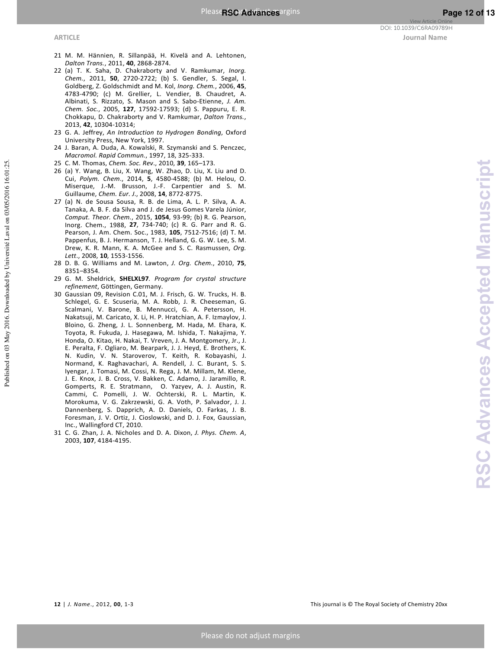Published on 03 May 2016. Downloaded by Université Laval on 03/05/2016 16:01:25.

- 21 M. M. Hännien, R. Sillanpää, H. Kivelä and A. Lehtonen, *Dalton Trans.*, 2011, **40**, 2868-2874.
- 22 (a) T. K. Saha, D. Chakraborty and V. Ramkumar, *Inorg. Chem.*, 2011, **50**, 2720-2722; (b) S. Gendler, S. Segal, I. Goldberg, Z. Goldschmidt and M. Kol, *Inorg. Chem.*, 2006, **45**, 4783-4790; (c) M. Grellier, L. Vendier, B. Chaudret, A. Albinati, S. Rizzato, S. Mason and S. Sabo-Etienne, *J. Am. Chem. Soc.*, 2005, **127**, 17592-17593; (d) S. Pappuru, E. R. Chokkapu, D. Chakraborty and V. Ramkumar, *Dalton Trans.*, 2013, **42**, 10304-10314;
- 23 G. A. Jeffrey, *An Introduction to Hydrogen Bonding*, Oxford University Press, New York, 1997.
- 24 J. Baran, A. Duda, A. Kowalski, R. Szymanski and S. Penczec, *Macromol. Rapid Commun.*, 1997, 18, 325-333.
- 25 C. M. Thomas, *Chem. Soc. Rev*., 2010, **39**, 165–173.
- 26 (a) Y. Wang, B. Liu, X. Wang, W. Zhao, D. Liu, X. Liu and D. Cui, *Polym. Chem*., 2014, **5**, 4580-4588; (b) M. Helou, O. Miserque, J.-M. Brusson, J.-F. Carpentier and S. M. Guillaume, *Chem. Eur. J*., 2008, **14**, 8772-8775.
- 27 (a) N. de Sousa Sousa, R. B. de Lima, A. L. P. Silva, A. A. Tanaka, A. B. F. da Silva and J. de Jesus Gomes Varela Júnior, *Comput. Theor. Chem.*, 2015, **1054**, 93-99; (b) R. G. Pearson, Inorg. Chem., 1988, **27**, 734-740; (c) R. G. Parr and R. G. Pearson, J. Am. Chem. Soc., 1983, **105**, 7512-7516; (d) T. M. Pappenfus, B. J. Hermanson, T. J. Helland, G. G. W. Lee, S. M. Drew, K. R. Mann, K. A. McGee and S. C. Rasmussen, *Org. Lett*., 2008, **10**, 1553-1556.
- 28 D. B. G. Williams and M. Lawton, *J. Org. Chem*., 2010, **75**, 8351–8354.
- 29 G. M. Sheldrick, **SHELXL97***. Program for crystal structure refinement*, Göttingen, Germany.
- 30 Gaussian 09, Revision C.01, M. J. Frisch, G. W. Trucks, H. B. Schlegel, G. E. Scuseria, M. A. Robb, J. R. Cheeseman, G. Scalmani, V. Barone, B. Mennucci, G. A. Petersson, H. Nakatsuji, M. Caricato, X. Li, H. P. Hratchian, A. F. Izmaylov, J. Bloino, G. Zheng, J. L. Sonnenberg, M. Hada, M. Ehara, K. Toyota, R. Fukuda, J. Hasegawa, M. Ishida, T. Nakajima, Y. Honda, O. Kitao, H. Nakai, T. Vreven, J. A. Montgomery, Jr., J. E. Peralta, F. Ogliaro, M. Bearpark, J. J. Heyd, E. Brothers, K. N. Kudin, V. N. Staroverov, T. Keith, R. Kobayashi, J. Normand, K. Raghavachari, A. Rendell, J. C. Burant, S. S. Iyengar, J. Tomasi, M. Cossi, N. Rega, J. M. Millam, M. Klene, J. E. Knox, J. B. Cross, V. Bakken, C. Adamo, J. Jaramillo, R. Gomperts, R. E. Stratmann, O. Yazyev, A. J. Austin, R. Cammi, C. Pomelli, J. W. Ochterski, R. L. Martin, K. Morokuma, V. G. Zakrzewski, G. A. Voth, P. Salvador, J. J. Dannenberg, S. Dapprich, A. D. Daniels, O. Farkas, J. B. Foresman, J. V. Ortiz, J. Cioslowski, and D. J. Fox, Gaussian, Inc., Wallingford CT, 2010.
- 31 C. G. Zhan, J. A. Nicholes and D. A. Dixon, *J. Phys. Chem. A*, 2003, **107**, 4184-4195.